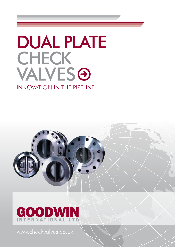# DUAL PLATE **CHECK VALVESO** INNOVATION IN THE PIPELINE





www.checkvalves.co.uk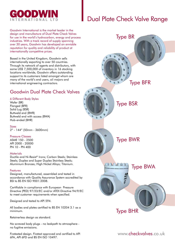

# Dual Plate Check Valve Range

Goodwin International is the market leader in the design and manufacture of Dual Plate Check Valves for use in the world's hydrocarbon, energy and process industries. With a track record of supply spanning over 30 years, Goodwin has developed an enviable reputation for quality and reliability of product at internationally competitive prices.

Based in the United Kingdom, Goodwin sells internationally exporting to over 50 countries. Through its network of agents and distributors, with some US\$ 7,500,000 of inventory in 16 stocking locations worldwide, Goodwin offers outstanding support to its customers listed amongst whom are many of the world's end users, oil majors and international engineering contractors.

### Goodwin Dual Plate Check Valves

#### 6 Different Body Styles

Wafer (BR) Flanged (BFR) Solid Lug (BSR) Buttweld end (BWR) Buttweld end with access (BWA) Hub-ended (BHR)

Sizes 2" - 144" (50mm - 3600mm)

#### Pressure Classes

ASME 150 - 2500 API 2000 - 20000 PN 10 - PN 400

#### **Materials**

Ductile and Ni-Resist® Irons; Carbon Steels; Stainless Steels; Duplex and Super Duplex Stainless Steels; Aluminium Bronzes; High Nickel Alloys; Titanium.

#### Features

Designed, manufactured, assembled and tested in accordance with Quality Assurance System accredited by BSI to BS EN ISO 9001:2008.

Certifiable in compliance with European Pressure Directive (PED) 97/23/EC and/or ATEX Directive 94/9/EC to meet customer requirements when specified.

Designed and tested to API 594.

All bodies and plates certified to BS EN 10204 3.1 as a minimum.

Retainerless design as standard.

No screwed body plugs - no leakpath to atmosphere no fugitive emissions.

Firetested design. Firetest approved and certified to API 6FA, API 6FD and BS EN ISO 10497.



www.checkvalves.co.uk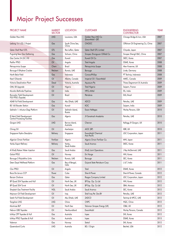# Major Project Successes

| <b>PROJECT NAME</b>                                                | <b>MARKET</b><br><b>SECTOR</b> | <b>LOCATION</b>             | <b>CUSTOMER</b>                         | <b>ENGINEERING</b><br><b>CONTRACTOR</b> | <b>YEAR</b> |
|--------------------------------------------------------------------|--------------------------------|-----------------------------|-----------------------------------------|-----------------------------------------|-------------|
| Golden Pass LNG                                                    | <b>LNG</b>                     | Louisiana, USA              | Golden Pass LNG Co<br>(ExxonMobil - QP) | Chicago Bridge & Iron, USA              | 2007        |
| Ledong 15-1/22-1 Project                                           | Gas                            | South China Sea,<br>China   | <b>CNOOC</b>                            | Offshore Oil Engineering Co, China      | 2007        |
| <b>Qatar Shell Pearl GTL</b>                                       | <b>GTL</b>                     | Ras Laffan, Qatar           | <b>Qatar Shell GTL Limited</b>          | Chiyoda, Japan                          | 2007        |
| Puguang Sour Gas Gathering                                         | Gas                            | Sichuan, China              | Sinopec Zhongyuan Oilfield Co           | Sinopec Shengli E&C, China              | 2007        |
| Gas Centre 24 (GC-24)                                              | Gas                            | Kuwait                      | Kuwait Oil Co                           | SKEC, Korea                             | 2007        |
| Pazflor FPSO                                                       | Oil                            | Angola                      | Total Angola                            | DSME, Korea                             | 2008        |
| Petroquimica Suape                                                 | Chem                           | Brazil                      | Petroquimica Suape                      | Aker Kvaerner, UK                       | 2008        |
| Borouge II Ethylene Cracker                                        | Petchem                        | Ruwais, UAE                 | Borouge                                 | Linde, Germany                          | 2008        |
| North Belut Field                                                  | Gas                            | Indonesia                   | ConocoPhillips                          | PT Technip, Indonesia                   | 2008        |
| Kearl Oilsands                                                     | Oil                            | Alberta, Canada             | Imperial Oil / ExxonMobil               | AMEC, Canada                            | 2009        |
| Victoria Desalination Plant                                        | Desal                          | Victoria, Australia         | Aquasure Pty                            | Thiess Degremont JV, Australia          | 2009        |
| OML 58 Upgrade                                                     | Oil                            | Nigeria                     | <b>Total Nigeria</b>                    | Saipem, France                          | 2009        |
| Mundra Bathinda Pipelines                                          | Oil                            | India                       | <b>HPCL-Mittal</b>                      | EIL, India                              | 2009        |
| Roncador Field Development:<br>P55 FPSO (Topside)                  | Oil                            | Brazil                      | Petrobras                               | EAS, Brazil                             | 2009        |
| <b>ASAB Full Field Development</b>                                 | Gas                            | Abu Dhabi, UAE              | <b>ADCO</b>                             | Petrofac, UAE                           | 2009        |
| BS 160 Booster Station                                             | Gas                            | Kuwait                      | <b>KOC</b>                              | Saipem, India                           | 2009        |
| Sakhalin 1: Arkutun-Dagi Platform                                  | Oil                            | Sakhalin Island,<br>Russia  | Exxon Neftegas                          | Worley Parsons, USA                     | 2010        |
| El Merk Field Development:<br><b>Central Processing Facilities</b> | Gas                            | Algeria                     | JV Sonatrach Anadarko                   | Petrofac, UAE                           | 2010        |
| Gorgon LNG                                                         | <b>LNG</b>                     | Barrow Island,<br>Australia | Chevron                                 | Kellogg JV Gorgon, UK                   | 2010        |
| Chirag Oil                                                         | Oil                            | Azerbaijan                  | AIOC (BP)                               | KBR, UK                                 | 2010        |
| Singapore Hydro-Desulphur                                          | Refinery                       | Singapore                   | ExxonMobil Chemical<br>Asia Pacific     | JGC Corporation, Japan                  | 2011        |
| Algerian Oman Fertiliser                                           | Fertilizer                     | Algeria                     | Algeria Oman Fertiliser Co.             | MHI, Japan                              | 2011        |
| Yanbu Export Refinery                                              | Refinery                       | Yanbu,<br>Saudi Arabia      | Saudi Aramco                            | SKEC, Korea                             | 2011        |
| Al Khafji Ratawi Water Injection                                   | Gas                            | Saudi Arabia                | Khafji Joint Operations                 | J Ray McDermott, UAE                    | 2011        |
| Goliat FPSO                                                        | Oil                            | Norway                      | Eni Norge                               | HHI, Korea                              | 2011        |
| Borouge 3 Polyolefins Units                                        | Petchem                        | Ruwais, UAE                 | Borouge                                 | SEC, Korea                              | 2011        |
| Deen Dayal Wellhead Platform                                       | Gas                            | Bay of Bengal,<br>India     | Gujarat State Petroleum Corp            | L & T, India                            | 2011        |
| Clov FPSO                                                          | Oil                            | Angola                      | Total                                   | DSME, Korea                             | 2012        |
| Boca De Jaruco CCP                                                 | Power                          | Cuba                        | Sherritt Power                          | Sherritt Power, Canada                  | 2012        |
| Barzan Onshore                                                     | Gas                            | Qatar                       | Rasgas Company Limited                  | JGC Corporation, Japan                  | 2012        |
| BP Quad 204 Topsides and Hull                                      | Oil                            | North Sea, UK               | BP Exp. Op. Co Ltd                      | HHI, Korea                              | 2012        |
| BP Quad 204 Turret                                                 | Oil                            | North Sea, UK               | BP Exp. Op. Co Ltd                      | SBM, Monaco                             | 2012        |
| Shaybah Gas Treatment Facility                                     | <b>NGL</b>                     | Saudi Arabia                | Saudi Aramco                            | SEC, Korea                              | 2012        |
| Majnoon Oil Field Development                                      | Oil                            | Iraq                        | Shell Iraq Pet. Dev.BV                  | Petrofac, UAE                           | 2012        |
| Satah Full Field Development                                       | Oil                            | Abu Dhabi, UAE              | ZADCO                                   | Technip & NPCC, UAE                     | 2012        |
| Tangshan LNG                                                       | <b>LNG</b>                     | China                       | <b>CNPC</b>                             | HQC, China                              | 2012        |
| Montrose BLP                                                       | Oil                            | North Sea                   | Talisman Sinopec Energy (UK)            | CB&I, UK                                | 2012        |
| Hebron GBS Topsides                                                | Oil                            | Newfoundland                | <b>ExxonMobil</b>                       | Worley Parsons, Canada                  | 2012        |
| Ichthys CPF Topsides & Hull                                        | Gas                            | Australia                   | Inpex                                   | SHI, Korea                              | 2012        |
| Ichthys FPSO Topsides & Hull                                       | Gas                            | Australia                   | Inpex                                   | DSME, Korea                             | 2013        |
| Valemon                                                            | Gas                            | Norway                      | Statoil                                 | SHI, Korea                              | 2012        |
| Queensland Curtis                                                  | LNG                            | Australia                   | BG / Origin                             | Bechtel, USA                            | 2012        |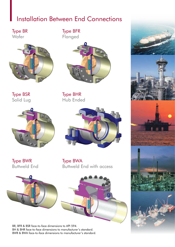# Installation Between End Connections

Type BR **Wafer** 



Type BSR Solid Lug



Type BWR Buttweld End





Type BFR Flanged



Type BHR Hub Ended



Type BWA Buttweld End with access









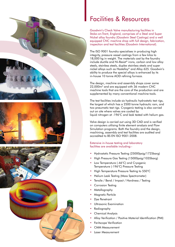





# Facilities & Resources

Goodwin's Check Valve manufacturing facilities in Stoke-on-Trent, England, comprises of a Steel and Super Nickel alloy foundry (Goodwin Steel Castings) and a well equipped CNC machine shop with full design, fabrication, inspection and test facilities (Goodwin International).

The ISO 9001 foundry specialises in producing high integrity, pressure vessel castings from a few kilos to 18,000 kg in weight. The materials cast by the foundry include ductile and Ni-Resist® irons, carbon and low alloy steels, stainless steels, duplex stainless steels and super nickel alloys such as Hastelloy® and Alloy 625. Goodwin's ability to produce the special alloys is enhanced by its in-house 10 tonne AOD refining furnace.

The design, machine and assembly shops cover some 22,000m2 and are equipped with 36 modern CNC machine tools that are the core of the production and are supplemented by many conventional machine tools.

The test facilities include six hydraulic hydrostatic test rigs, the largest of which has a 2500 tonne hydraulic ram, and two pneumatic test rigs. Cryogenic testing is also carried out on site where valves are cooled by liquid nitrogen at -196°C and leak tested with helium gas.

Valve design is carried out using 3D CAD and is verified on computers utilising finite element analysis and Flow Simulation programs. Both the foundry and the design, machining, assembly and test facilities are audited and accredited to BS EN ISO 9001:2008.

Extensive in-house testing and laboratory facilities are available including:-

- Hydrostatic Pressure Testing (25000psig/1725barg)
- High Pressure Gas Testing (15000psig/1035barg)
- Low Temperature (-46°C) and Cryogenic Temperature (-196°C) Pressure Testing
- High Temperature Pressure Testing to 550°C
- Helium Leak Testing (Mass Spectrometer)
- Tensile / Bend / Impact / Hardness / Testing
- Corrosion Testing
- Metallography
- Magnetic Particle
- Dye Penetrant
- Ultrasonic Examination
- Radiography
- Chemical Analysis
- Alloy Verification / Positive Material Identification (PMI)
- Feritscope Verification
- CMM Measurement
- Laser Measurement